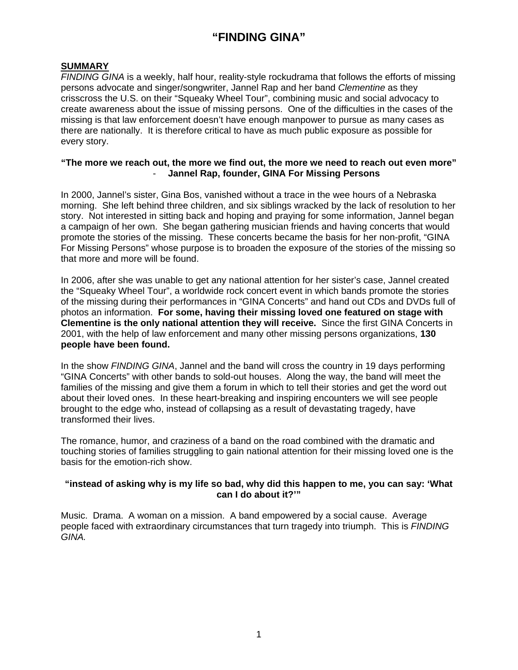# **"FINDING GINA"**

## **SUMMARY**

*FINDING GINA* is a weekly, half hour, reality-style rockudrama that follows the efforts of missing persons advocate and singer/songwriter, Jannel Rap and her band *Clementine* as they crisscross the U.S. on their "Squeaky Wheel Tour", combining music and social advocacy to create awareness about the issue of missing persons. One of the difficulties in the cases of the missing is that law enforcement doesn't have enough manpower to pursue as many cases as there are nationally. It is therefore critical to have as much public exposure as possible for every story.

#### **"The more we reach out, the more we find out, the more we need to reach out even more"**  - **Jannel Rap, founder, GINA For Missing Persons**

In 2000, Jannel's sister, Gina Bos, vanished without a trace in the wee hours of a Nebraska morning. She left behind three children, and six siblings wracked by the lack of resolution to her story. Not interested in sitting back and hoping and praying for some information, Jannel began a campaign of her own. She began gathering musician friends and having concerts that would promote the stories of the missing. These concerts became the basis for her non-profit, "GINA For Missing Persons" whose purpose is to broaden the exposure of the stories of the missing so that more and more will be found.

In 2006, after she was unable to get any national attention for her sister's case, Jannel created the "Squeaky Wheel Tour", a worldwide rock concert event in which bands promote the stories of the missing during their performances in "GINA Concerts" and hand out CDs and DVDs full of photos an information. **For some, having their missing loved one featured on stage with Clementine is the only national attention they will receive.** Since the first GINA Concerts in 2001, with the help of law enforcement and many other missing persons organizations, **130 people have been found.** 

In the show *FINDING GINA*, Jannel and the band will cross the country in 19 days performing "GINA Concerts" with other bands to sold-out houses. Along the way, the band will meet the families of the missing and give them a forum in which to tell their stories and get the word out about their loved ones. In these heart-breaking and inspiring encounters we will see people brought to the edge who, instead of collapsing as a result of devastating tragedy, have transformed their lives.

The romance, humor, and craziness of a band on the road combined with the dramatic and touching stories of families struggling to gain national attention for their missing loved one is the basis for the emotion-rich show.

#### **"instead of asking why is my life so bad, why did this happen to me, you can say: 'What can I do about it?'"**

Music. Drama. A woman on a mission. A band empowered by a social cause. Average people faced with extraordinary circumstances that turn tragedy into triumph. This is *FINDING GINA.*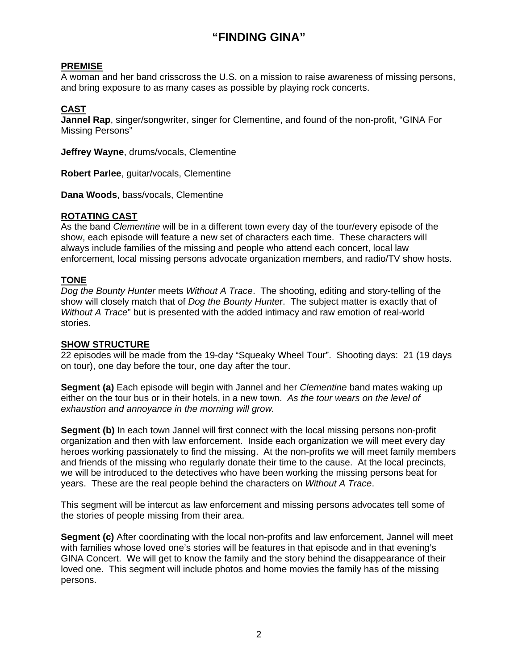# **"FINDING GINA"**

#### **PREMISE**

A woman and her band crisscross the U.S. on a mission to raise awareness of missing persons, and bring exposure to as many cases as possible by playing rock concerts.

## **CAST**

**Jannel Rap**, singer/songwriter, singer for Clementine, and found of the non-profit, "GINA For Missing Persons"

**Jeffrey Wayne**, drums/vocals, Clementine

**Robert Parlee**, guitar/vocals, Clementine

**Dana Woods**, bass/vocals, Clementine

### **ROTATING CAST**

As the band *Clementine* will be in a different town every day of the tour/every episode of the show, each episode will feature a new set of characters each time. These characters will always include families of the missing and people who attend each concert, local law enforcement, local missing persons advocate organization members, and radio/TV show hosts.

### **TONE**

*Dog the Bounty Hunter* meets *Without A Trace*. The shooting, editing and story-telling of the show will closely match that of *Dog the Bounty Hunte*r. The subject matter is exactly that of *Without A Trace*" but is presented with the added intimacy and raw emotion of real-world stories.

### **SHOW STRUCTURE**

22 episodes will be made from the 19-day "Squeaky Wheel Tour". Shooting days: 21 (19 days on tour), one day before the tour, one day after the tour.

**Segment (a)** Each episode will begin with Jannel and her *Clementine* band mates waking up either on the tour bus or in their hotels, in a new town. *As the tour wears on the level of exhaustion and annoyance in the morning will grow.* 

**Segment (b)** In each town Jannel will first connect with the local missing persons non-profit organization and then with law enforcement. Inside each organization we will meet every day heroes working passionately to find the missing. At the non-profits we will meet family members and friends of the missing who regularly donate their time to the cause. At the local precincts, we will be introduced to the detectives who have been working the missing persons beat for years. These are the real people behind the characters on *Without A Trace*.

This segment will be intercut as law enforcement and missing persons advocates tell some of the stories of people missing from their area.

**Segment (c)** After coordinating with the local non-profits and law enforcement, Jannel will meet with families whose loved one's stories will be features in that episode and in that evening's GINA Concert. We will get to know the family and the story behind the disappearance of their loved one. This segment will include photos and home movies the family has of the missing persons.